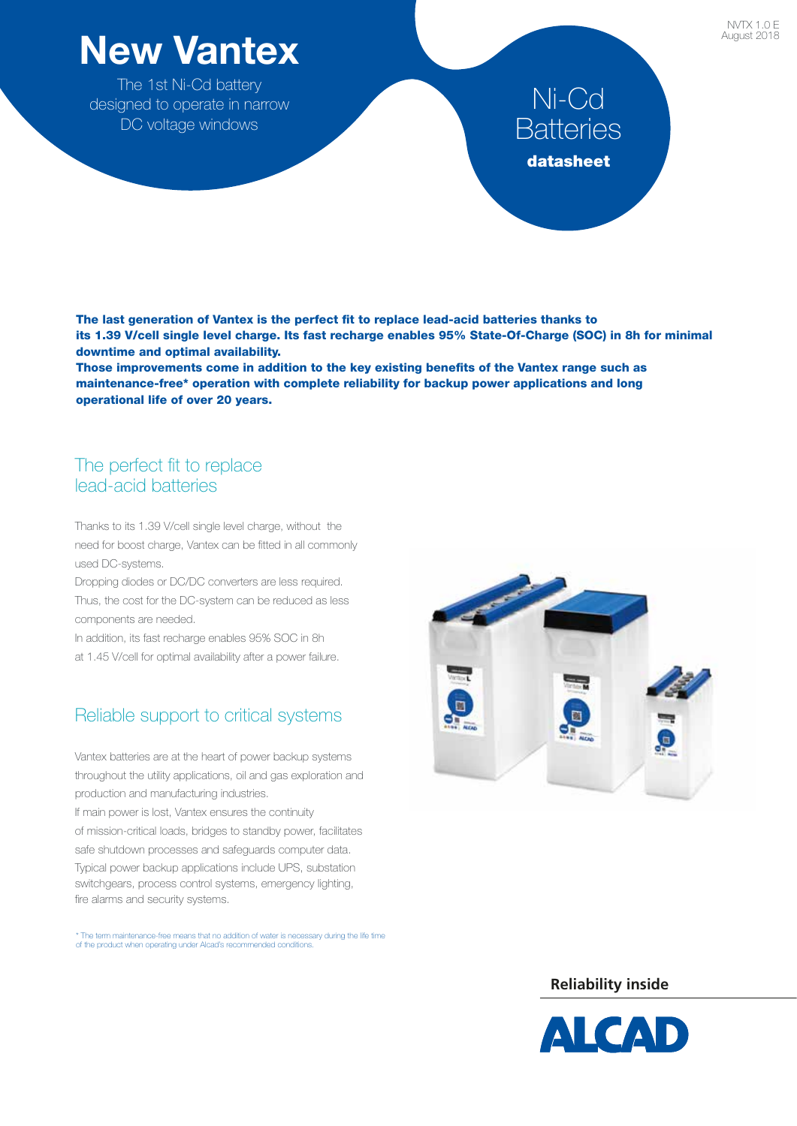# **New Vantex**

The 1st Ni-Cd battery designed to operate in narrow DC voltage windows

# Ni-Cd **Batteries** datasheet

The last generation of Vantex is the perfect fit to replace lead-acid batteries thanks to its 1.39 V/cell single level charge. Its fast recharge enables 95% State-Of-Charge (SOC) in 8h for minimal downtime and optimal availability.

Those improvements come in addition to the key existing benefits of the Vantex range such as maintenance-free\* operation with complete reliability for backup power applications and long operational life of over 20 years.

#### The perfect fit to replace lead-acid batteries

Thanks to its 1.39 V/cell single level charge, without the need for boost charge, Vantex can be fitted in all commonly used DC-systems.

Dropping diodes or DC/DC converters are less required. Thus, the cost for the DC-system can be reduced as less components are needed.

In addition, its fast recharge enables 95% SOC in 8h at 1.45 V/cell for optimal availability after a power failure.

## Reliable support to critical systems

Vantex batteries are at the heart of power backup systems throughout the utility applications, oil and gas exploration and production and manufacturing industries.

If main power is lost, Vantex ensures the continuity of mission-critical loads, bridges to standby power, facilitates safe shutdown processes and safeguards computer data. Typical power backup applications include UPS, substation switchgears, process control systems, emergency lighting, fire alarms and security systems.

\* The term maintenance-free means that no addition of water is necessary during the life time of the product when operating under Alcad's recommended conditions.



**Reliability inside**